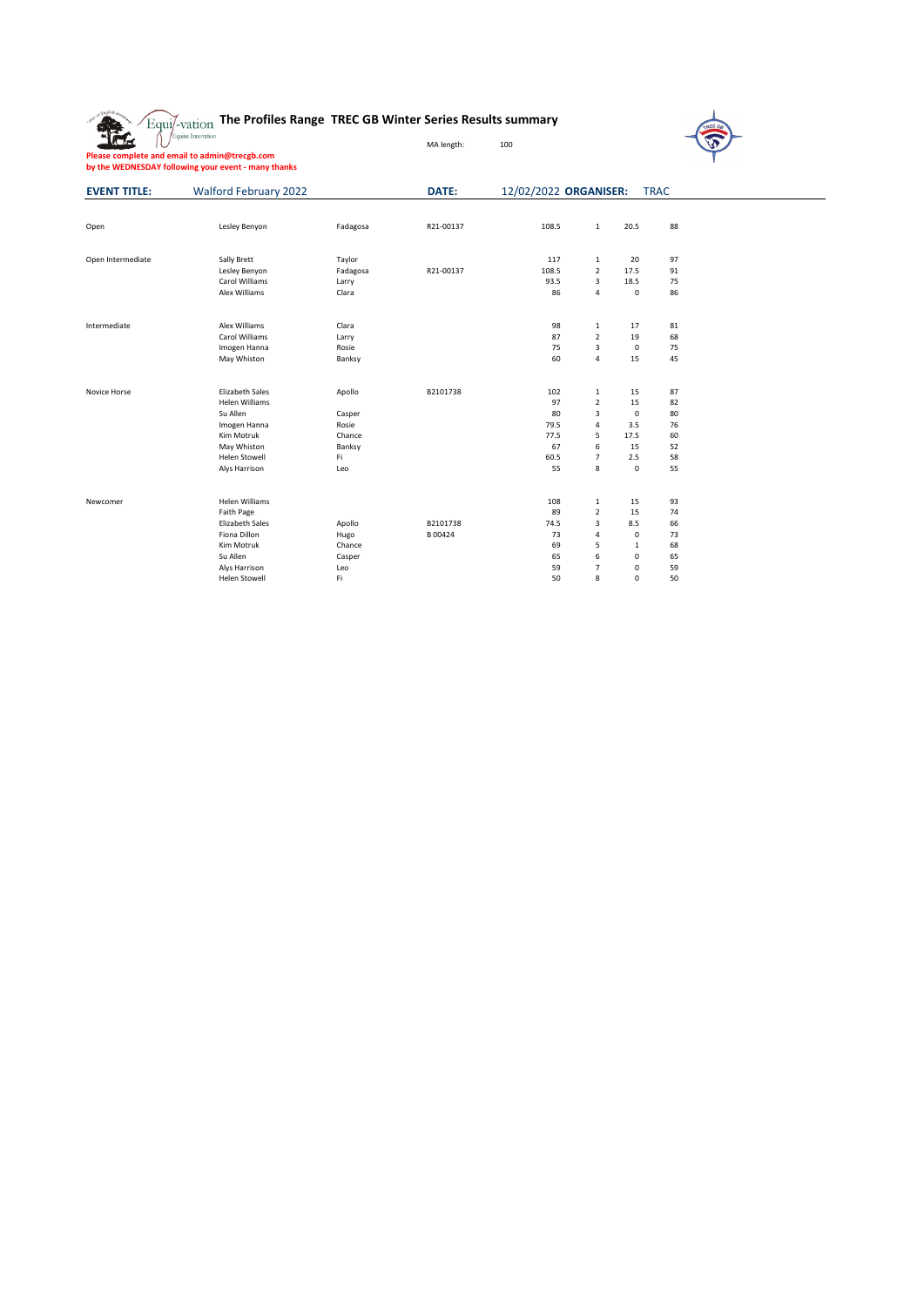| o Laglish o         | The Profiles Range TREC GB Winter Series Results summary<br>Equi/-vation                                                                         |                                                            |                     |                                                     |                                                                             |                                                                    |                                              |  |
|---------------------|--------------------------------------------------------------------------------------------------------------------------------------------------|------------------------------------------------------------|---------------------|-----------------------------------------------------|-----------------------------------------------------------------------------|--------------------------------------------------------------------|----------------------------------------------|--|
|                     | Equine Innovation                                                                                                                                |                                                            | MA length:          | 100                                                 |                                                                             |                                                                    |                                              |  |
|                     | Please complete and email to admin@trecgb.com<br>by the WEDNESDAY following your event - many thanks                                             |                                                            |                     |                                                     |                                                                             |                                                                    |                                              |  |
| <b>EVENT TITLE:</b> | <b>Walford February 2022</b>                                                                                                                     |                                                            | DATE:               | 12/02/2022 ORGANISER:                               |                                                                             |                                                                    | <b>TRAC</b>                                  |  |
| Open                | Lesley Benyon                                                                                                                                    | Fadagosa                                                   | R21-00137           | 108.5                                               | 1                                                                           | 20.5                                                               | 88                                           |  |
| Open Intermediate   | Sally Brett<br>Lesley Benyon<br>Carol Williams<br>Alex Williams                                                                                  | Taylor<br>Fadagosa<br>Larry<br>Clara                       | R21-00137           | 117<br>108.5<br>93.5<br>86                          | 1<br>$\overline{2}$<br>3<br>$\overline{4}$                                  | 20<br>17.5<br>18.5<br>$\mathsf 0$                                  | 97<br>91<br>75<br>86                         |  |
| Intermediate        | Alex Williams<br>Carol Williams<br>Imogen Hanna<br>May Whiston                                                                                   | Clara<br>Larry<br>Rosie<br>Banksy                          |                     | 98<br>87<br>75<br>60                                | 1<br>$\overline{2}$<br>$\overline{\mathbf{3}}$<br>$\sqrt{4}$                | 17<br>19<br>$\mathsf 0$<br>15                                      | 81<br>68<br>75<br>45                         |  |
| Novice Horse        | <b>Elizabeth Sales</b><br><b>Helen Williams</b><br>Su Allen<br>Imogen Hanna<br>Kim Motruk<br>May Whiston<br>Helen Stowell<br>Alys Harrison       | Apollo<br>Casper<br>Rosie<br>Chance<br>Banksy<br>Fi<br>Leo | B2101738            | 102<br>97<br>80<br>79.5<br>77.5<br>67<br>60.5<br>55 | 1<br>$\overline{2}$<br>3<br>$\sqrt{4}$<br>5<br>6<br>$\overline{7}$<br>8     | 15<br>15<br>$\mathsf 0$<br>3.5<br>17.5<br>15<br>2.5<br>$\mathbf 0$ | 87<br>82<br>80<br>76<br>60<br>52<br>58<br>55 |  |
| Newcomer            | <b>Helen Williams</b><br>Faith Page<br><b>Elizabeth Sales</b><br>Fiona Dillon<br>Kim Motruk<br>Su Allen<br>Alys Harrison<br><b>Helen Stowell</b> | Apollo<br>Hugo<br>Chance<br>Casper<br>Leo<br>Fi            | B2101738<br>B 00424 | 108<br>89<br>74.5<br>73<br>69<br>65<br>59<br>50     | 1<br>$\overline{2}$<br>3<br>$\overline{4}$<br>5<br>6<br>$\overline{7}$<br>8 | 15<br>15<br>8.5<br>$\mathbf 0$<br>1<br>0<br>0<br>$\Omega$          | 93<br>74<br>66<br>73<br>68<br>65<br>59<br>50 |  |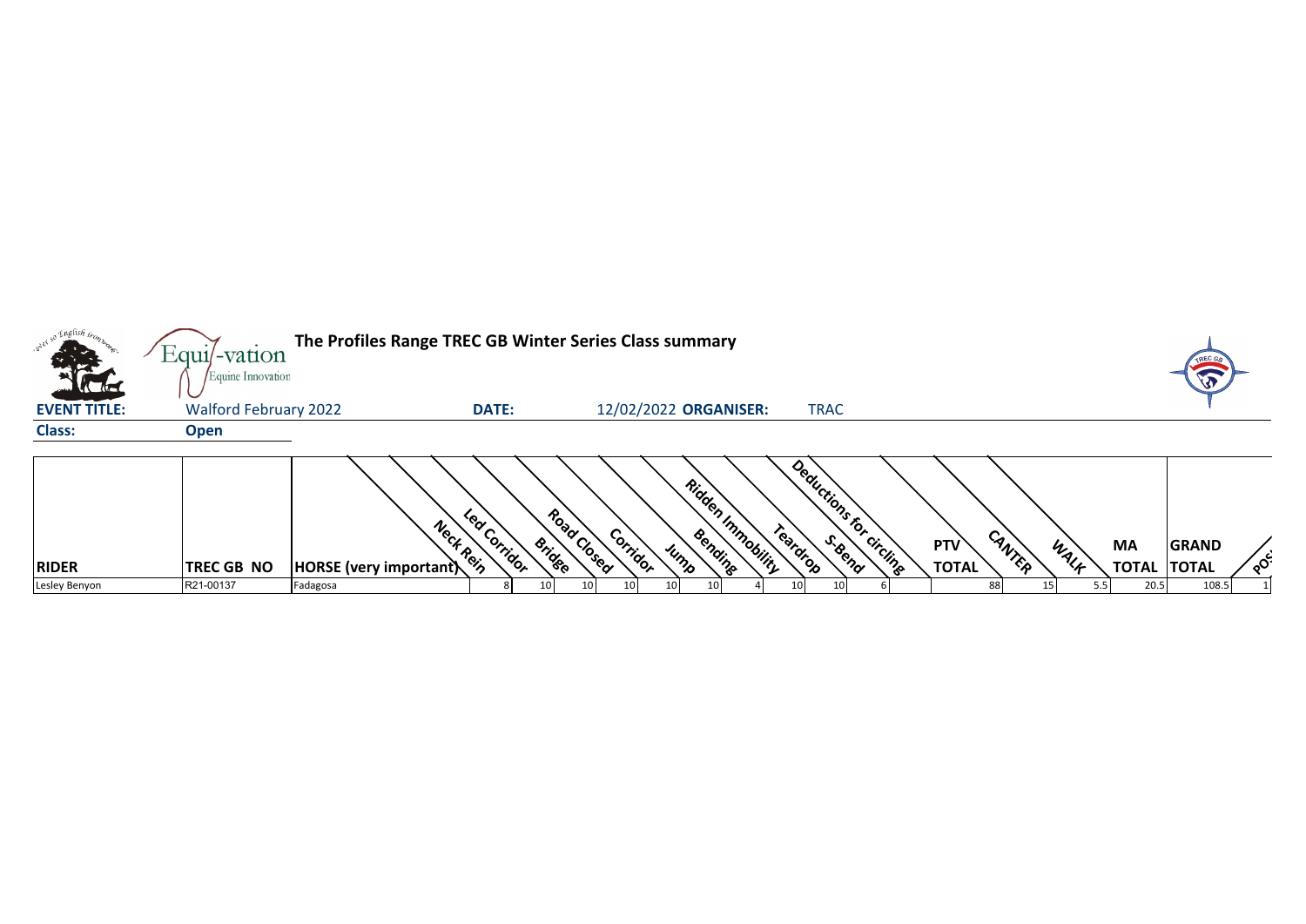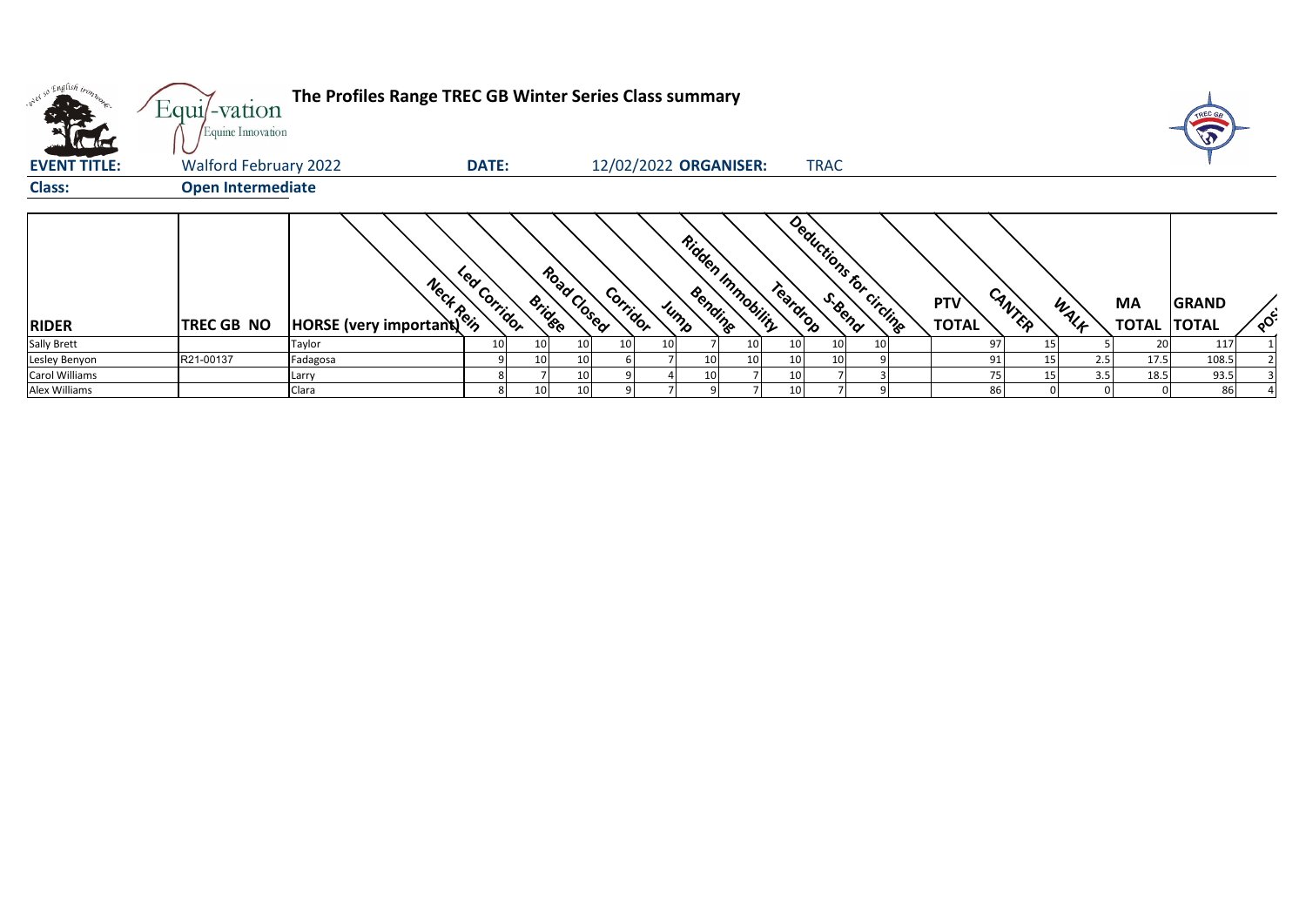| <b>Allah</b>        | The Profiles Range TREC GB Winter Series Class summary<br>Equi/-vation<br>Equine Innovation |                                                      |                         |               |             |          |  |                 |                       |          |                 |                         |  |                     |                 | TREC GB |                          |              |                      |
|---------------------|---------------------------------------------------------------------------------------------|------------------------------------------------------|-------------------------|---------------|-------------|----------|--|-----------------|-----------------------|----------|-----------------|-------------------------|--|---------------------|-----------------|---------|--------------------------|--------------|----------------------|
| <b>EVENT TITLE:</b> | <b>Walford February 2022</b>                                                                |                                                      | <b>DATE:</b>            |               |             |          |  |                 | 12/02/2022 ORGANISER: |          | <b>TRAC</b>     |                         |  |                     |                 |         |                          |              |                      |
| <b>Class:</b>       | <b>Open Intermediate</b>                                                                    |                                                      |                         |               |             |          |  |                 |                       |          |                 |                         |  |                     |                 |         |                          |              |                      |
| <b>RIDER</b>        | <b>TREC GB NO</b>                                                                           | <b>Mercy Mercy Control</b><br>HORSE (very important) | <b>Po</b><br>J Corridor | <b>Bridge</b> | Road Closed | Corridor |  | Bending<br>Jump | Ridden Immobility     | Teardrop |                 | Deductions for circling |  | PTV<br><b>TOTAL</b> | CANTER          | WALK    | MA<br><b>TOTAL TOTAL</b> | <b>GRAND</b> | $\circ$ <sup>c</sup> |
| <b>Sally Brett</b>  |                                                                                             | Taylor                                               | 10 <sub>1</sub>         | 10            | 10          |          |  |                 | 10                    | 10       | 10 <sup>1</sup> | 10                      |  | 97                  | 15              |         | 20                       | 117          |                      |
| Lesley Benyon       | R21-00137                                                                                   | Fadagosa                                             |                         | 10            | 10          |          |  | 10              | 10 <sup>1</sup>       | 10       | 10              |                         |  | 91                  | 15 <sub>l</sub> | 2.5     | 17.5                     | 108.5        |                      |
| Carol Williams      |                                                                                             | Larry                                                |                         |               | 10          |          |  | 10              |                       | 10       |                 |                         |  |                     | 15              | 3.5     | 18.5                     | 93.5         |                      |
| Alex Williams       |                                                                                             | Clara                                                |                         | 10            | 10          |          |  |                 |                       | 10       |                 |                         |  | 86                  |                 |         |                          |              |                      |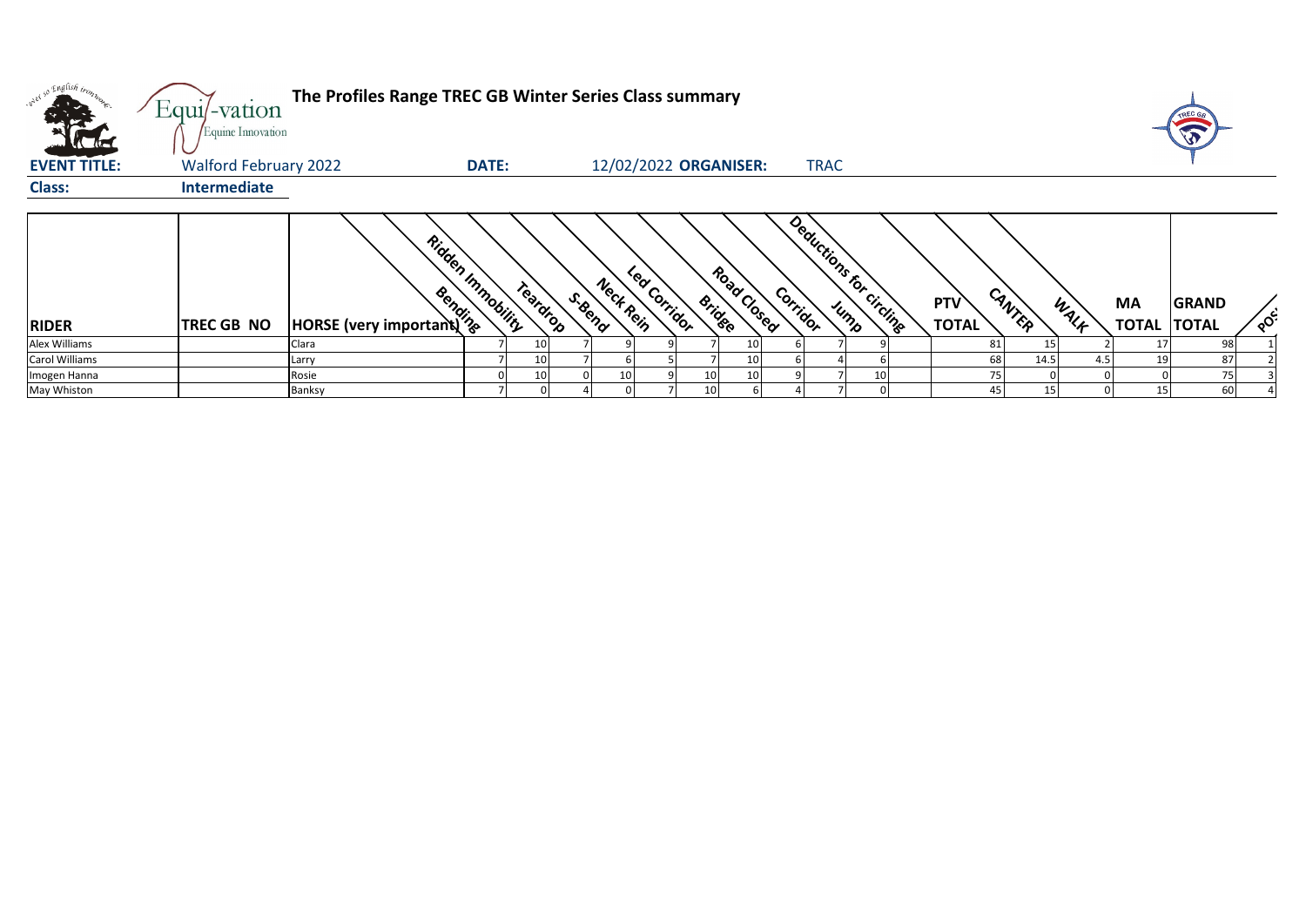| over so English tronn<br><b>ALL</b> | Equi/-vation<br>Equine Innovation | The Profiles Range TREC GB Winter Series Class summary |              |          |        |                           |                 |                              |                                      |    |                     |                 |      |                          | $\mathbf{v}$ |                         |
|-------------------------------------|-----------------------------------|--------------------------------------------------------|--------------|----------|--------|---------------------------|-----------------|------------------------------|--------------------------------------|----|---------------------|-----------------|------|--------------------------|--------------|-------------------------|
| <b>EVENT TITLE:</b>                 | <b>Walford February 2022</b>      |                                                        | <b>DATE:</b> |          |        | 12/02/2022 ORGANISER:     |                 |                              | <b>TRAC</b>                          |    |                     |                 |      |                          |              |                         |
| <b>Class:</b>                       | Intermediate                      |                                                        |              |          |        |                           |                 |                              |                                      |    |                     |                 |      |                          |              |                         |
| <b>RIDER</b>                        | <b>TREC GB NO</b>                 | Ridden Inmobility<br>And the HORSE (very important)    |              | Teardrop | S.Bend | Led Corridor<br>Neck Rein |                 | Road Closed<br><b>Bridge</b> | Deductions for circlings<br>Corridor |    | PTV<br><b>TOTAL</b> | CANTER          | WALK | MA<br><b>TOTAL TOTAL</b> | <b>GRAND</b> | $\circ^{\mathcal{C}^2}$ |
| Alex Williams                       |                                   | Clara                                                  |              | 10       |        |                           |                 | 10                           |                                      |    | 81                  | 15              |      |                          | 98           |                         |
| <b>Carol Williams</b>               |                                   | Larry                                                  |              | 10       |        |                           |                 | 10 <sub>1</sub>              |                                      |    | 68                  | 14.5            | 4.5  | 19                       | 87           |                         |
| Imogen Hanna                        |                                   | Rosie                                                  |              | 10       |        |                           | 10              | 10                           |                                      | 10 |                     |                 |      |                          |              |                         |
| May Whiston                         |                                   | Banksy                                                 |              |          |        |                           | 10 <sup>1</sup> |                              |                                      |    |                     | 15 <sub>l</sub> |      | 15                       | 60           |                         |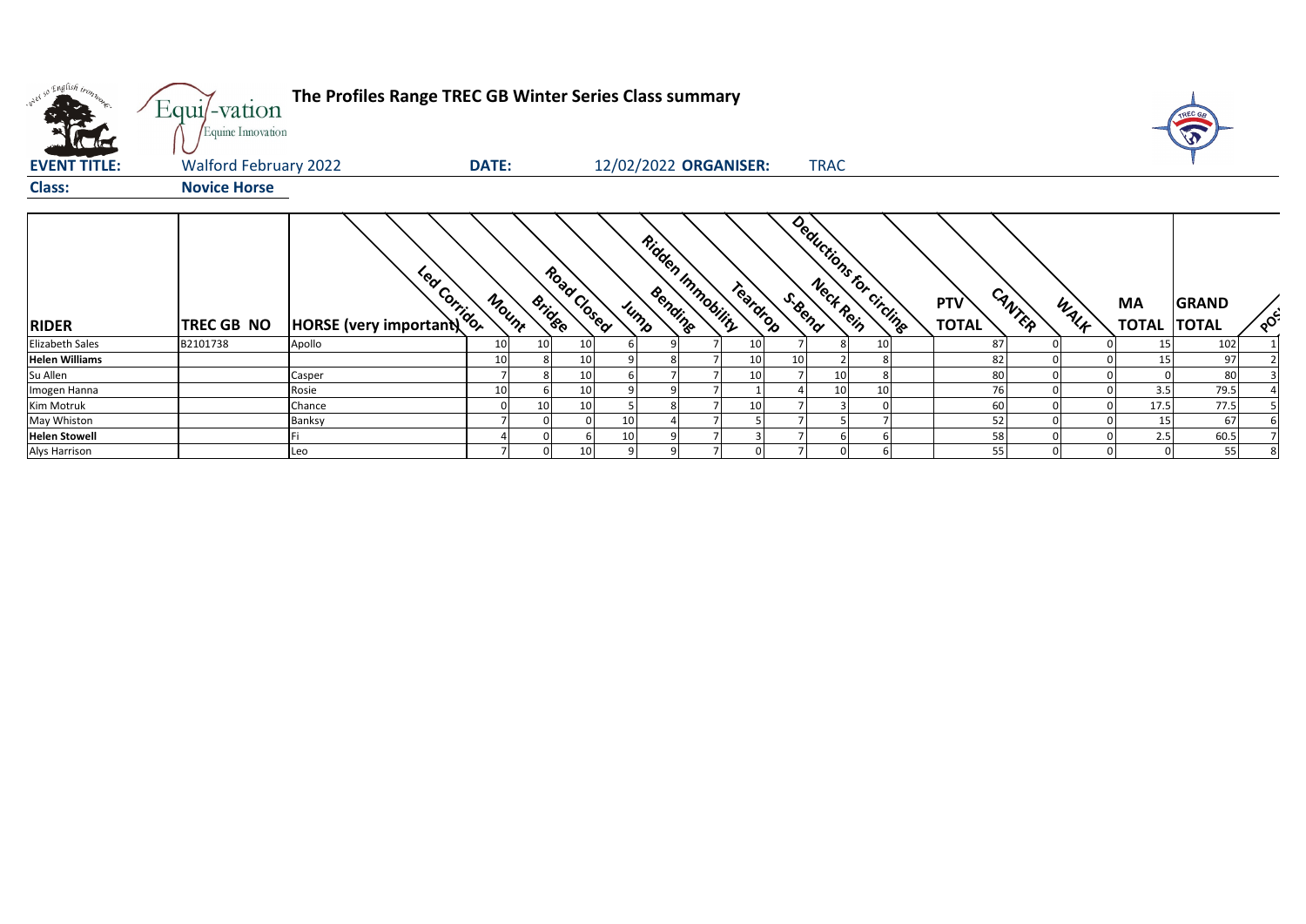| w <sup>ed 50</sup> English tronn.<br><b>All Allent</b> | Equi/-vation<br>Equine Innovation | The Profiles Range TREC GB Winter Series Class summary |              |                 |             |    |                 |                       |                 |             |                          |                            |        |      |                          |              |     |
|--------------------------------------------------------|-----------------------------------|--------------------------------------------------------|--------------|-----------------|-------------|----|-----------------|-----------------------|-----------------|-------------|--------------------------|----------------------------|--------|------|--------------------------|--------------|-----|
| <b>EVENT TITLE:</b>                                    | <b>Walford February 2022</b>      |                                                        | <b>DATE:</b> |                 |             |    |                 | 12/02/2022 ORGANISER: |                 | <b>TRAC</b> |                          |                            |        |      |                          |              |     |
| <b>Class:</b>                                          | <b>Novice Horse</b>               |                                                        |              |                 |             |    |                 |                       |                 |             |                          |                            |        |      |                          |              |     |
| <b>RIDER</b>                                           | <b>TREC GB NO</b>                 | <b>Execution</b><br>HORSE (very important)             | Mount        | <b>Bridge</b>   | Road Closed |    | Bending<br>Jump | Ridden Inmobility     | Teardrop        | S. Bend     | Deductions for circlings | <b>PTV</b><br><b>TOTAL</b> | CANTER | WALF | MA<br><b>TOTAL TOTAL</b> | <b>GRAND</b> | POC |
| <b>Elizabeth Sales</b>                                 | B2101738                          | Apollo                                                 | 10           | 10 <sub>1</sub> | 10          |    |                 |                       | 10 <sup>1</sup> |             | 10                       | 87                         |        |      | 15                       | 102          |     |
| <b>Helen Williams</b>                                  |                                   |                                                        | 10           |                 | 10          |    |                 |                       | 10<br>10        |             |                          | 82                         |        |      |                          | 97           |     |
| Su Allen                                               |                                   | Casper                                                 |              |                 | 10          |    |                 |                       | 10              | 10          |                          | 80                         |        |      |                          | 80           |     |
| Imogen Hanna                                           |                                   | Rosie                                                  | 10           |                 | 10          |    |                 |                       |                 | 10          | 10                       | 76                         |        |      | 3.5                      | 79.5         |     |
| Kim Motruk                                             |                                   | Chance                                                 |              | 10              | 10          |    | 8               |                       | 10              |             |                          | 60                         |        |      | 17.5                     | 77.5         |     |
| May Whiston                                            |                                   | Banksy                                                 |              |                 |             | 10 |                 |                       |                 |             |                          | 52                         |        |      | 15                       | 67           |     |
| <b>Helen Stowell</b>                                   |                                   |                                                        |              |                 |             | 10 |                 |                       |                 |             |                          | 58                         |        |      | 2.5                      | 60.5         |     |
| <b>Alys Harrison</b>                                   |                                   | Leo                                                    |              |                 | 10          |    |                 |                       |                 |             |                          | 55                         |        |      |                          | 55           |     |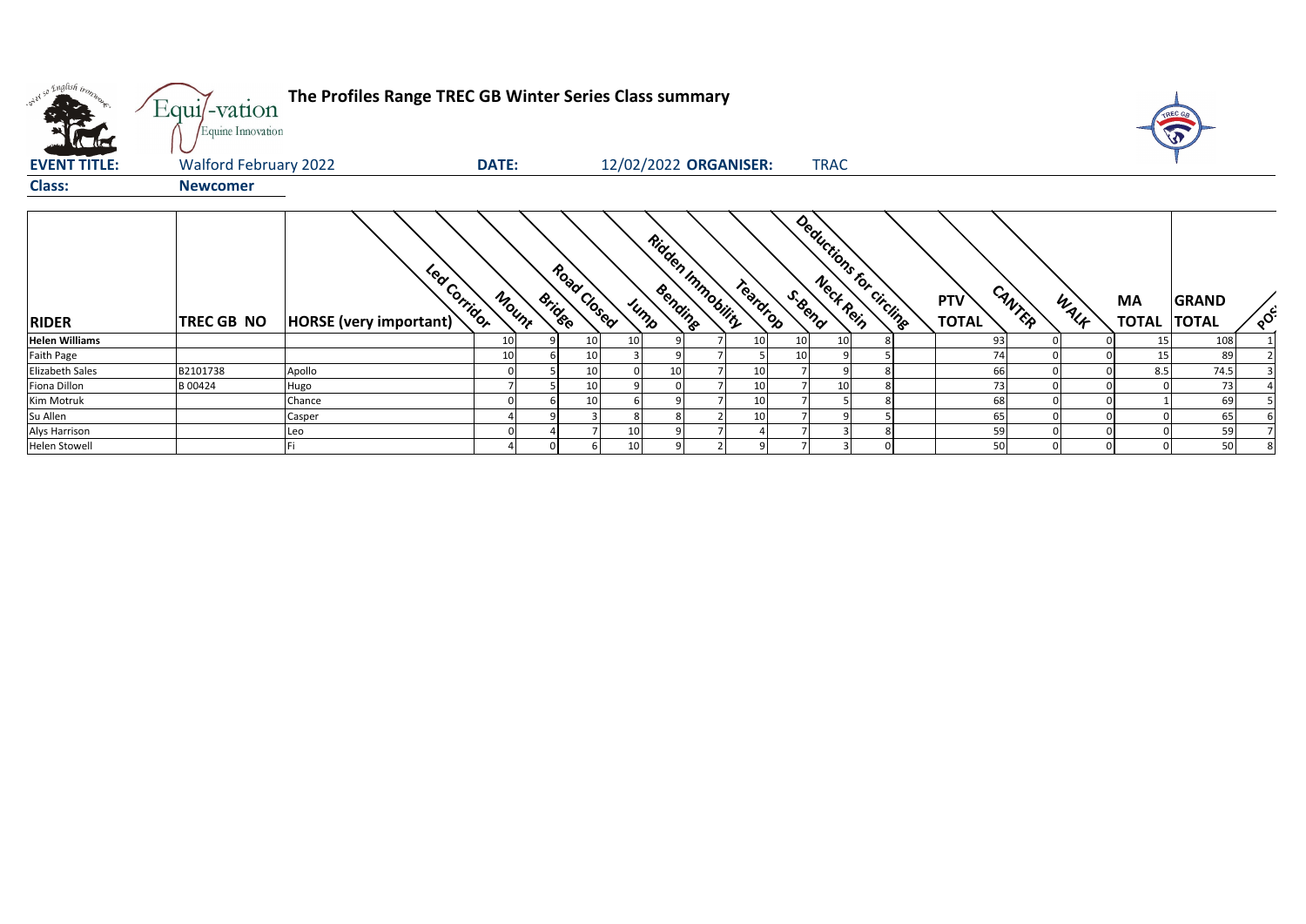| only so English trong  | Equi/-vation<br>Equine Innovation | The Profiles Range TREC GB Winter Series Class summary |              |               |             |    |                                      |          |         |                         |                                      |      |                                 |              |                  |
|------------------------|-----------------------------------|--------------------------------------------------------|--------------|---------------|-------------|----|--------------------------------------|----------|---------|-------------------------|--------------------------------------|------|---------------------------------|--------------|------------------|
| <b>EVENT TITLE:</b>    | <b>Walford February 2022</b>      |                                                        | <b>DATE:</b> |               |             |    | 12/02/2022 ORGANISER:                |          |         | <b>TRAC</b>             |                                      |      |                                 |              |                  |
| <b>Class:</b>          | <b>Newcomer</b>                   |                                                        |              |               |             |    |                                      |          |         |                         |                                      |      |                                 |              |                  |
| <b>RIDER</b>           | TREC GB NO                        | Led Corridor<br>HORSE (very important)                 | Mount        | <b>Bridge</b> | Road Closed |    | Ridden Inmobility<br>Bending<br>Jump | Teardrop | S. Bend | Deductions for circline | CANTER<br><b>PTV</b><br><b>TOTAL</b> | WALK | <b>MA</b><br><b>TOTAL TOTAL</b> | <b>GRAND</b> | $\delta_{\rm c}$ |
| <b>Helen Williams</b>  |                                   |                                                        | 10           |               |             | 10 |                                      | 10       | 10      |                         | 93                                   |      | 15                              | 108          |                  |
| Faith Page             |                                   |                                                        | 10           |               |             |    |                                      |          |         |                         |                                      |      |                                 | 89           |                  |
| <b>Elizabeth Sales</b> | B2101738                          | Apollo                                                 |              |               |             |    |                                      | 10       |         |                         | 66                                   |      | 8.5                             | 74.5         |                  |
| Fiona Dillon           | B 00424                           | Hugo                                                   |              |               |             |    |                                      |          |         |                         |                                      |      |                                 | 73           |                  |
| Kim Motruk             |                                   | Chance                                                 |              |               |             |    |                                      |          |         |                         | 68                                   |      |                                 | 69           |                  |
| Su Allen               |                                   | Casper                                                 |              |               |             |    |                                      |          |         |                         | 65                                   |      |                                 | 65           |                  |
| Alys Harrison          |                                   | Leo                                                    |              |               |             | 10 |                                      |          |         |                         | 59                                   |      |                                 | 59           |                  |
| <b>Helen Stowell</b>   |                                   |                                                        |              |               |             | 10 |                                      |          |         |                         | 50                                   |      |                                 | 50           |                  |